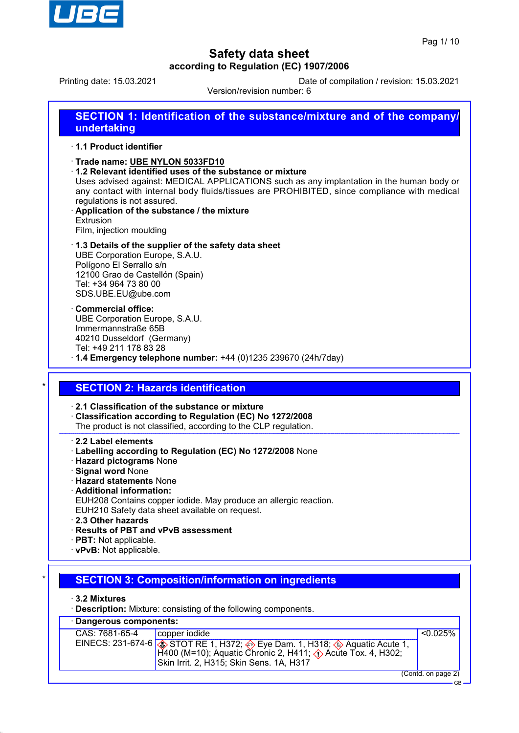

Printing date: 15.03.2021 Date of compilation / revision: 15.03.2021

Version/revision number: 6

# **SECTION 1: Identification of the substance/mixture and of the company/ undertaking**

### · **1.1 Product identifier**

- · **Trade name: UBE NYLON 5033FD10**
- · **1.2 Relevant identified uses of the substance or mixture**
- Uses advised against: MEDICAL APPLICATIONS such as any implantation in the human body or any contact with internal body fluids/tissues are PROHIBITED, since compliance with medical regulations is not assured.
- · **Application of the substance / the mixture Extrusion** Film, injection moulding
- · **1.3 Details of the supplier of the safety data sheet** UBE Corporation Europe, S.A.U. Polígono El Serrallo s/n 12100 Grao de Castellón (Spain) Tel: +34 964 73 80 00 SDS.UBE.EU@ube.com
- · **Commercial office:** UBE Corporation Europe, S.A.U. Immermannstraße 65B 40210 Dusseldorf (Germany) Tel: +49 211 178 83 28
- · **1.4 Emergency telephone number:** +44 (0)1235 239670 (24h/7day)

## **SECTION 2: Hazards identification**

### · **2.1 Classification of the substance or mixture**

- · **Classification according to Regulation (EC) No 1272/2008**
- The product is not classified, according to the CLP regulation.
- · **2.2 Label elements**
- · **Labelling according to Regulation (EC) No 1272/2008** None
- · **Hazard pictograms** None
- · **Signal word** None
- · **Hazard statements** None
- · **Additional information:**
- EUH208 Contains copper iodide. May produce an allergic reaction.
- EUH210 Safety data sheet available on request.
- · **2.3 Other hazards**
- · **Results of PBT and vPvB assessment**
- · **PBT:** Not applicable.
- · **vPvB:** Not applicable.

## **SECTION 3: Composition/information on ingredients**

### · **3.2 Mixtures**

· **Description:** Mixture: consisting of the following components.

| · Dangerous components: |                                                                                                                                                                                                                                      |                    |
|-------------------------|--------------------------------------------------------------------------------------------------------------------------------------------------------------------------------------------------------------------------------------|--------------------|
| CAS: 7681-65-4          | copper iodide                                                                                                                                                                                                                        | $< 0.025\%$        |
|                         | EINECS: 231-674-6 $\circledast$ STOT RE 1, H372; $\circledast$ Eye Dam. 1, H318; $\circledast$ Aquatic Acute 1, H4100 (M=10); Aquatic Chronic 2, H411; $\circledast$ Acute Tox. 4, H302;<br>Skin Irrit. 2, H315; Skin Sens. 1A, H317 |                    |
|                         |                                                                                                                                                                                                                                      | (Contd. on page 2) |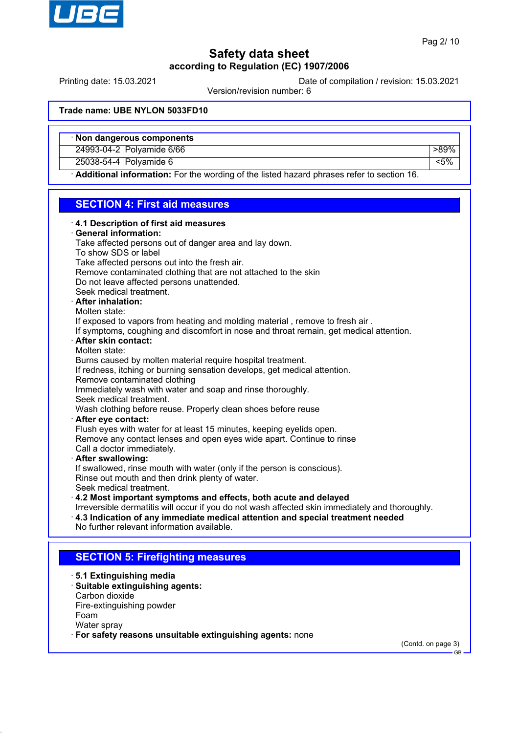

Printing date: 15.03.2021 Date of compilation / revision: 15.03.2021

Version/revision number: 6

### **Trade name: UBE NYLON 5033FD10**

|  |  |  | · Non dangerous components |
|--|--|--|----------------------------|
|--|--|--|----------------------------|

24993-04-2 Polyamide 6/66 **block of the set of the set of the set of the set of the set of the set of the set of the set of the set of the set of the set of the set of the set of the set of the set of the set of the set of** 

25038-54-4 Polyamide 6 <5%

Water spray

· **For safety reasons unsuitable extinguishing agents:** none

Additional information: For the wording of the listed hazard phrases refer to section 16.

## **SECTION 4: First aid measures**

| 4.1 Description of first aid measures      |                                                                                                 |
|--------------------------------------------|-------------------------------------------------------------------------------------------------|
| · General information:                     |                                                                                                 |
|                                            | Take affected persons out of danger area and lay down.                                          |
| To show SDS or label                       |                                                                                                 |
|                                            | Take affected persons out into the fresh air.                                                   |
|                                            | Remove contaminated clothing that are not attached to the skin                                  |
|                                            | Do not leave affected persons unattended.                                                       |
| Seek medical treatment.                    |                                                                                                 |
| · After inhalation:                        |                                                                                                 |
| Molten state:                              |                                                                                                 |
|                                            | If exposed to vapors from heating and molding material, remove to fresh air.                    |
|                                            | If symptoms, coughing and discomfort in nose and throat remain, get medical attention.          |
| · After skin contact:                      |                                                                                                 |
| Molten state:                              |                                                                                                 |
|                                            | Burns caused by molten material require hospital treatment.                                     |
|                                            | If redness, itching or burning sensation develops, get medical attention.                       |
| Remove contaminated clothing               |                                                                                                 |
|                                            | Immediately wash with water and soap and rinse thoroughly.                                      |
| Seek medical treatment.                    |                                                                                                 |
|                                            | Wash clothing before reuse. Properly clean shoes before reuse                                   |
| After eye contact:                         |                                                                                                 |
|                                            | Flush eyes with water for at least 15 minutes, keeping eyelids open.                            |
|                                            | Remove any contact lenses and open eyes wide apart. Continue to rinse                           |
| Call a doctor immediately.                 |                                                                                                 |
| · After swallowing:                        |                                                                                                 |
|                                            | If swallowed, rinse mouth with water (only if the person is conscious).                         |
|                                            | Rinse out mouth and then drink plenty of water.                                                 |
| Seek medical treatment.                    |                                                                                                 |
|                                            | 4.2 Most important symptoms and effects, both acute and delayed                                 |
|                                            | Irreversible dermatitis will occur if you do not wash affected skin immediately and thoroughly. |
|                                            | $\cdot$ 4.3 Indication of any immediate medical attention and special treatment needed          |
| No further relevant information available. |                                                                                                 |
|                                            |                                                                                                 |
|                                            | <b>SECTION 5: Firefighting measures</b>                                                         |
| ⋅ 5.1 Extinguishing media                  |                                                                                                 |
| Suitable extinguishing agents:             |                                                                                                 |
| Carbon dioxide                             |                                                                                                 |
| Fire-extinguishing powder                  |                                                                                                 |
| Foam                                       |                                                                                                 |

(Contd. on page 3)

GB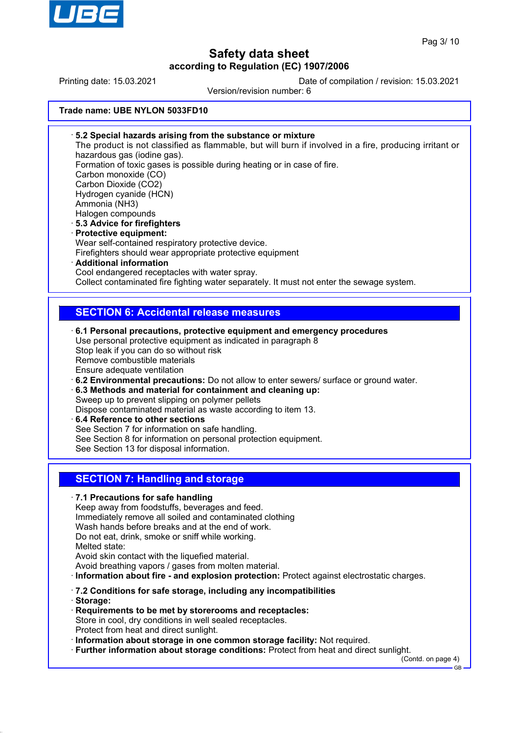

Printing date: 15.03.2021 Date of compilation / revision: 15.03.2021

Version/revision number: 6

### **Trade name: UBE NYLON 5033FD10**

· **5.2 Special hazards arising from the substance or mixture** The product is not classified as flammable, but will burn if involved in a fire, producing irritant or hazardous gas (iodine gas). Formation of toxic gases is possible during heating or in case of fire. Carbon monoxide (CO) Carbon Dioxide (CO2) Hydrogen cyanide (HCN) Ammonia (NH3) Halogen compounds · **5.3 Advice for firefighters** · **Protective equipment:** Wear self-contained respiratory protective device. Firefighters should wear appropriate protective equipment · **Additional information** Cool endangered receptacles with water spray. Collect contaminated fire fighting water separately. It must not enter the sewage system. **SECTION 6: Accidental release measures** · **6.1 Personal precautions, protective equipment and emergency procedures** Use personal protective equipment as indicated in paragraph 8 Stop leak if you can do so without risk Remove combustible materials Ensure adequate ventilation · **6.2 Environmental precautions:** Do not allow to enter sewers/ surface or ground water. · **6.3 Methods and material for containment and cleaning up:** Sweep up to prevent slipping on polymer pellets Dispose contaminated material as waste according to item 13. · **6.4 Reference to other sections** See Section 7 for information on safe handling. See Section 8 for information on personal protection equipment. See Section 13 for disposal information. **SECTION 7: Handling and storage** · **7.1 Precautions for safe handling** Keep away from foodstuffs, beverages and feed. Immediately remove all soiled and contaminated clothing Wash hands before breaks and at the end of work. Do not eat, drink, smoke or sniff while working. Melted state: Avoid skin contact with the liquefied material. Avoid breathing vapors / gases from molten material. · **Information about fire - and explosion protection:** Protect against electrostatic charges. · **7.2 Conditions for safe storage, including any incompatibilities** · **Storage:** · **Requirements to be met by storerooms and receptacles:** Store in cool, dry conditions in well sealed receptacles. Protect from heat and direct sunlight. · **Information about storage in one common storage facility:** Not required. · **Further information about storage conditions:** Protect from heat and direct sunlight. (Contd. on page 4) GB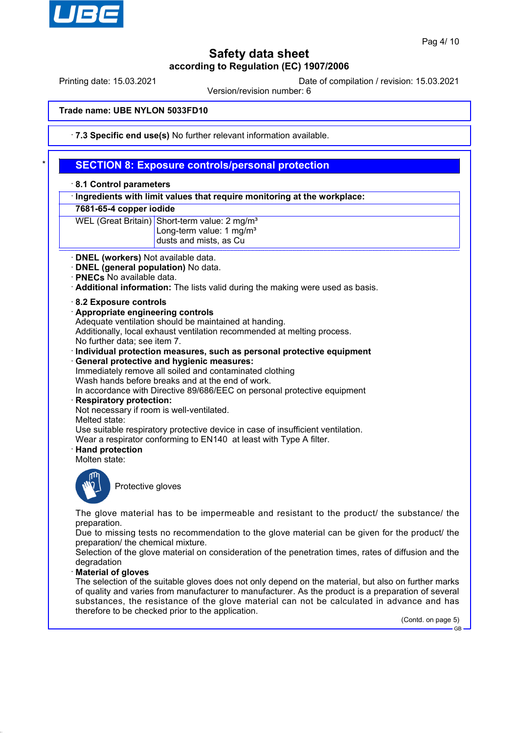

Printing date: 15.03.2021 Date of compilation / revision: 15.03.2021

Version/revision number: 6

### **Trade name: UBE NYLON 5033FD10**

· **7.3 Specific end use(s)** No further relevant information available.

## **SECTION 8: Exposure controls/personal protection**

#### · **8.1 Control parameters**

· **Ingredients with limit values that require monitoring at the workplace:**

#### **7681-65-4 copper iodide**

WEL (Great Britain) Short-term value: 2 mg/m<sup>3</sup>

- Long-term value: 1 mg/m<sup>3</sup> dusts and mists, as Cu
- 
- · **DNEL (workers)** Not available data. · **DNEL (general population)** No data.
- 
- · **PNECs** No available data.
- · **Additional information:** The lists valid during the making were used as basis.
- · **8.2 Exposure controls**
- · **Appropriate engineering controls**

Adequate ventilation should be maintained at handing.

Additionally, local exhaust ventilation recommended at melting process.

- No further data; see item 7.
- · **Individual protection measures, such as personal protective equipment**
- · **General protective and hygienic measures:**

Immediately remove all soiled and contaminated clothing

Wash hands before breaks and at the end of work.

In accordance with Directive 89/686/EEC on personal protective equipment

- · **Respiratory protection:**
- Not necessary if room is well-ventilated.
- Melted state:

Use suitable respiratory protective device in case of insufficient ventilation.

Wear a respirator conforming to EN140 at least with Type A filter.

· **Hand protection**

Molten state:



Protective gloves

The glove material has to be impermeable and resistant to the product/ the substance/ the preparation.

Due to missing tests no recommendation to the glove material can be given for the product/ the preparation/ the chemical mixture.

Selection of the glove material on consideration of the penetration times, rates of diffusion and the degradation

#### · **Material of gloves**

The selection of the suitable gloves does not only depend on the material, but also on further marks of quality and varies from manufacturer to manufacturer. As the product is a preparation of several substances, the resistance of the glove material can not be calculated in advance and has therefore to be checked prior to the application.

(Contd. on page 5)

GB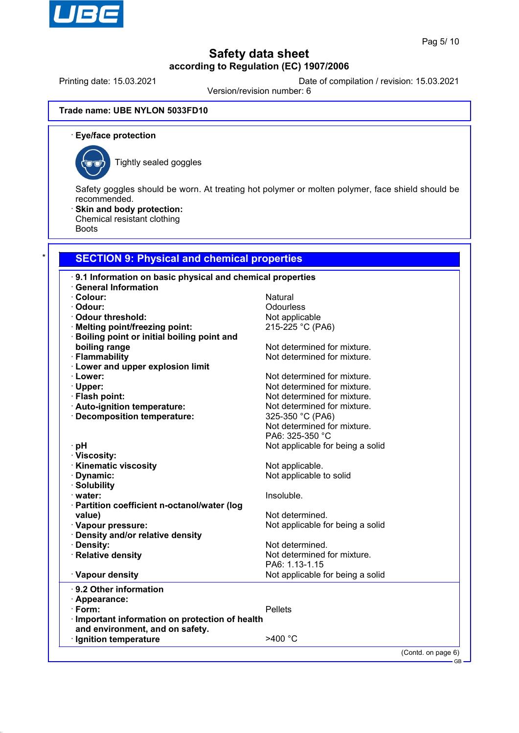

Printing date: 15.03.2021 Date of compilation / revision: 15.03.2021

Version/revision number: 6

### **Trade name: UBE NYLON 5033FD10**

· **Eye/face protection**



Tightly sealed goggles

Safety goggles should be worn. At treating hot polymer or molten polymer, face shield should be recommended.

· **Skin and body protection:**

Chemical resistant clothing

Boots

## **SECTION 9: Physical and chemical properties**

| .9.1 Information on basic physical and chemical properties |                                  |                    |
|------------------------------------------------------------|----------------------------------|--------------------|
| <b>General Information</b>                                 |                                  |                    |
| · Colour:                                                  | Natural                          |                    |
| · Odour:                                                   | Odourless                        |                    |
| Odour threshold:                                           | Not applicable                   |                    |
| · Melting point/freezing point:                            | 215-225 °C (PA6)                 |                    |
| · Boiling point or initial boiling point and               |                                  |                    |
| boiling range                                              | Not determined for mixture.      |                    |
| · Flammability                                             | Not determined for mixture.      |                    |
| <b>Lower and upper explosion limit</b>                     |                                  |                    |
| · Lower:                                                   | Not determined for mixture.      |                    |
| · Upper:                                                   | Not determined for mixture.      |                    |
| · Flash point:                                             | Not determined for mixture.      |                    |
| · Auto-ignition temperature:                               | Not determined for mixture.      |                    |
| · Decomposition temperature:                               | 325-350 °C (PA6)                 |                    |
|                                                            | Not determined for mixture.      |                    |
|                                                            | PA6: 325-350 °C                  |                    |
| ∙ pH                                                       | Not applicable for being a solid |                    |
| · Viscosity:                                               |                                  |                    |
| · Kinematic viscosity                                      | Not applicable.                  |                    |
| Dynamic:                                                   | Not applicable to solid          |                    |
| · Solubility                                               |                                  |                    |
| · water:                                                   | Insoluble.                       |                    |
| · Partition coefficient n-octanol/water (log               |                                  |                    |
| value)                                                     | Not determined.                  |                    |
| · Vapour pressure:                                         | Not applicable for being a solid |                    |
| · Density and/or relative density                          |                                  |                    |
| · Density:                                                 | Not determined.                  |                    |
| · Relative density                                         | Not determined for mixture.      |                    |
|                                                            | PA6: 1.13-1.15                   |                    |
| · Vapour density                                           | Not applicable for being a solid |                    |
| · 9.2 Other information                                    |                                  |                    |
| · Appearance:                                              |                                  |                    |
| $\cdot$ Form:                                              | <b>Pellets</b>                   |                    |
| · Important information on protection of health            |                                  |                    |
| and environment, and on safety.                            |                                  |                    |
| · Ignition temperature                                     | $>400$ °C                        |                    |
|                                                            |                                  | (Contd. on page 6) |
|                                                            |                                  | $-$ GB $-$         |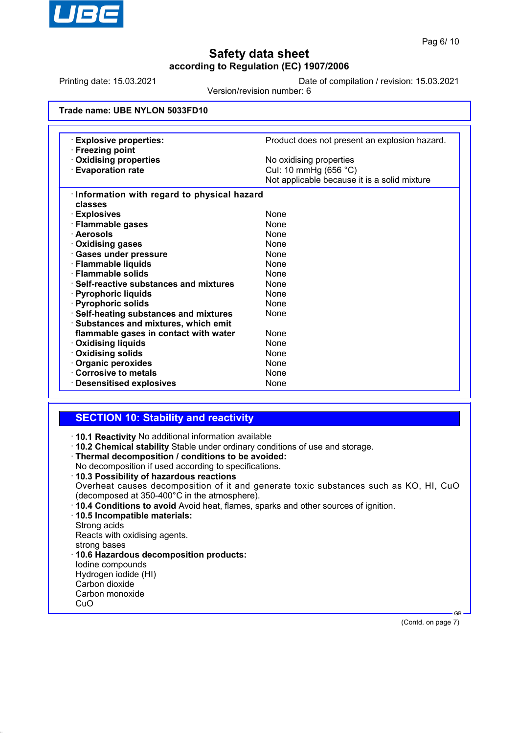

Printing date: 15.03.2021 Date of compilation / revision: 15.03.2021

Version/revision number: 6

### **Trade name: UBE NYLON 5033FD10**

| <b>Explosive properties:</b><br>· Freezing point | Product does not present an explosion hazard. |  |  |
|--------------------------------------------------|-----------------------------------------------|--|--|
| <b>Oxidising properties</b>                      | No oxidising properties                       |  |  |
| <b>Evaporation rate</b>                          | Cul: 10 mmHg (656 °C)                         |  |  |
|                                                  | Not applicable because it is a solid mixture  |  |  |
| Information with regard to physical hazard       |                                               |  |  |
| classes                                          |                                               |  |  |
| · Explosives                                     | <b>None</b>                                   |  |  |
| · Flammable gases                                | <b>None</b>                                   |  |  |
| · Aerosols                                       | <b>None</b>                                   |  |  |
| Oxidising gases                                  | <b>None</b>                                   |  |  |
| <b>Gases under pressure</b>                      | <b>None</b>                                   |  |  |
| · Flammable liquids                              | None                                          |  |  |
| $\cdot$ Flammable solids                         | <b>None</b>                                   |  |  |
| $\cdot$ Self-reactive substances and mixtures    | <b>None</b>                                   |  |  |
| · Pyrophoric liquids                             | <b>None</b>                                   |  |  |
| · Pyrophoric solids                              | <b>None</b>                                   |  |  |
| · Self-heating substances and mixtures           | None                                          |  |  |
| Substances and mixtures, which emit              |                                               |  |  |
| flammable gases in contact with water            | <b>None</b>                                   |  |  |
| <b>⋅ Oxidising liquids</b>                       | None                                          |  |  |
| Oxidising solids                                 | <b>None</b>                                   |  |  |
| · Organic peroxides                              | None                                          |  |  |
| Corrosive to metals                              | None                                          |  |  |
| · Desensitised explosives                        | None                                          |  |  |

## **SECTION 10: Stability and reactivity**

· **10.1 Reactivity** No additional information available

· **10.2 Chemical stability** Stable under ordinary conditions of use and storage.

· **Thermal decomposition / conditions to be avoided:**

No decomposition if used according to specifications.

· **10.3 Possibility of hazardous reactions** Overheat causes decomposition of it and generate toxic substances such as KO, HI, CuO (decomposed at 350-400°C in the atmosphere).

· **10.4 Conditions to avoid** Avoid heat, flames, sparks and other sources of ignition.

· **10.5 Incompatible materials:**

Strong acids

Reacts with oxidising agents.

strong bases

· **10.6 Hazardous decomposition products:** Iodine compounds Hydrogen iodide (HI) Carbon dioxide Carbon monoxide

CuO

(Contd. on page 7)

GB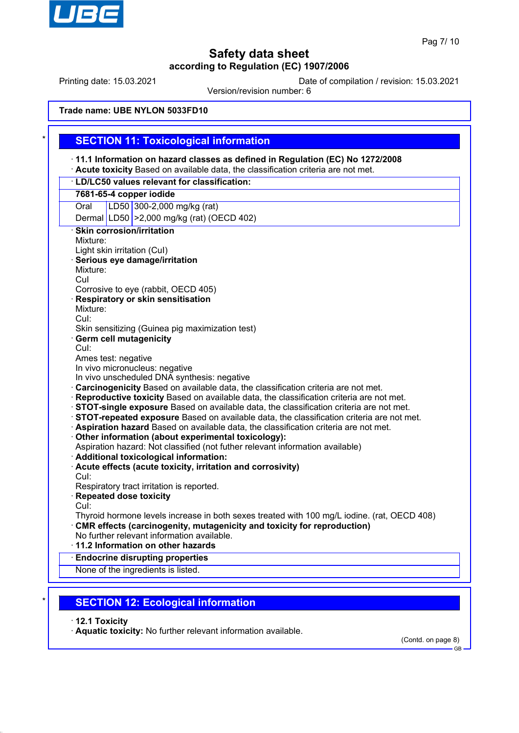

Printing date: 15.03.2021 Date of compilation / revision: 15.03.2021

Version/revision number: 6

### **Trade name: UBE NYLON 5033FD10**

### **SECTION 11: Toxicological information** · **11.1 Information on hazard classes as defined in Regulation (EC) No 1272/2008** · **Acute toxicity** Based on available data, the classification criteria are not met. · **LD/LC50 values relevant for classification: 7681-65-4 copper iodide** Oral LD50 300-2,000 mg/kg (rat) Dermal LD50 >2,000 mg/kg (rat) (OECD 402) **Skin corrosion/irritation** Mixture: Light skin irritation (CuI) · **Serious eye damage/irritation** Mixture: CuI Corrosive to eye (rabbit, OECD 405) · **Respiratory or skin sensitisation** Mixture: CuI: Skin sensitizing (Guinea pig maximization test) Germ cell mutagenicity CuI: Ames test: negative In vivo micronucleus: negative In vivo unscheduled DNA synthesis: negative · **Carcinogenicity** Based on available data, the classification criteria are not met. · **Reproductive toxicity** Based on available data, the classification criteria are not met. · **STOT-single exposure** Based on available data, the classification criteria are not met. · **STOT-repeated exposure** Based on available data, the classification criteria are not met. · **Aspiration hazard** Based on available data, the classification criteria are not met. · **Other information (about experimental toxicology):** Aspiration hazard: Not classified (not futher relevant information available) · **Additional toxicological information:** · **Acute effects (acute toxicity, irritation and corrosivity)** CuI: Respiratory tract irritation is reported. · **Repeated dose toxicity** CuI: Thyroid hormone levels increase in both sexes treated with 100 mg/L iodine. (rat, OECD 408) · **CMR effects (carcinogenity, mutagenicity and toxicity for reproduction)** No further relevant information available. · **11.2 Information on other hazards** · **Endocrine disrupting properties** None of the ingredients is listed.

**SECTION 12: Ecological information** 

· **12.1 Toxicity**

· **Aquatic toxicity:** No further relevant information available.

(Contd. on page 8)

GB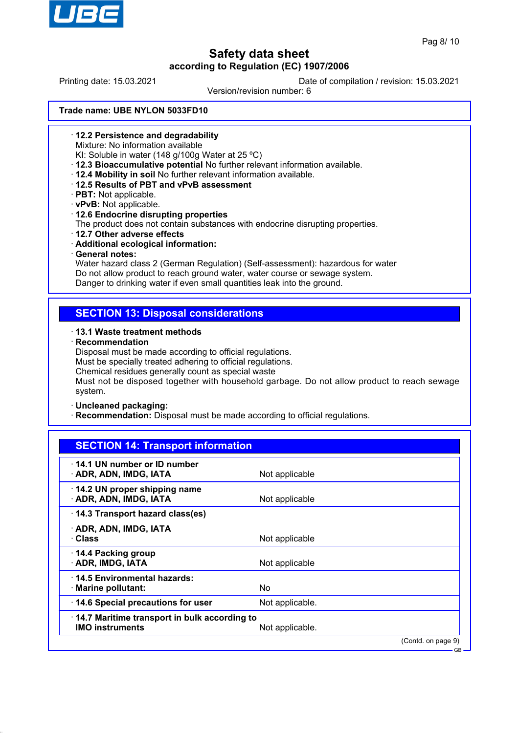

Printing date: 15.03.2021 Date of compilation / revision: 15.03.2021

Version/revision number: 6

#### **Trade name: UBE NYLON 5033FD10**

- · **12.2 Persistence and degradability**
	- Mixture: No information available
- KI: Soluble in water (148 g/100g Water at 25 ºC)
- · **12.3 Bioaccumulative potential** No further relevant information available.
- · **12.4 Mobility in soil** No further relevant information available.
- · **12.5 Results of PBT and vPvB assessment**
- · **PBT:** Not applicable.
- · **vPvB:** Not applicable.
- · **12.6 Endocrine disrupting properties**

The product does not contain substances with endocrine disrupting properties.

- · **12.7 Other adverse effects**
- · **Additional ecological information:**
- · **General notes:**

Water hazard class 2 (German Regulation) (Self-assessment): hazardous for water Do not allow product to reach ground water, water course or sewage system. Danger to drinking water if even small quantities leak into the ground.

## **SECTION 13: Disposal considerations**

### · **13.1 Waste treatment methods**

· **Recommendation**

Disposal must be made according to official regulations.

Must be specially treated adhering to official regulations.

Chemical residues generally count as special waste

Must not be disposed together with household garbage. Do not allow product to reach sewage system.

#### · **Uncleaned packaging:**

**Recommendation:** Disposal must be made according to official regulations.

| <b>SECTION 14: Transport information</b>                               |                 |                    |
|------------------------------------------------------------------------|-----------------|--------------------|
| 14.1 UN number or ID number<br>· ADR, ADN, IMDG, IATA                  | Not applicable  |                    |
| 14.2 UN proper shipping name<br><b>ADR, ADN, IMDG, IATA</b>            | Not applicable  |                    |
| 14.3 Transport hazard class(es)                                        |                 |                    |
| · ADR, ADN, IMDG, IATA<br>· Class                                      | Not applicable  |                    |
| 14.4 Packing group<br>· ADR, IMDG, IATA                                | Not applicable  |                    |
| 14.5 Environmental hazards:<br>$\cdot$ Marine pollutant:               | No.             |                    |
| 14.6 Special precautions for user                                      | Not applicable. |                    |
| 14.7 Maritime transport in bulk according to<br><b>IMO instruments</b> | Not applicable. |                    |
|                                                                        |                 | (Contd. on page 9) |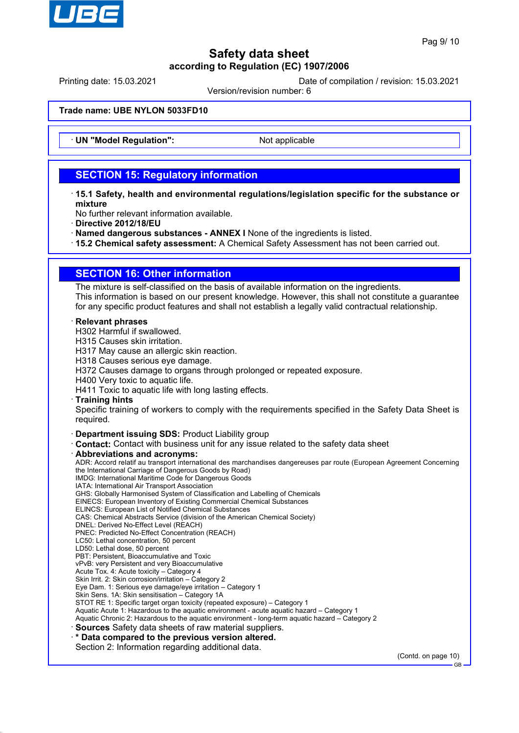

Printing date: 15.03.2021 Date of compilation / revision: 15.03.2021

Version/revision number: 6

#### **Trade name: UBE NYLON 5033FD10**

· **UN "Model Regulation":** Not applicable

## **SECTION 15: Regulatory information**

- · **15.1 Safety, health and environmental regulations/legislation specific for the substance or mixture**
- No further relevant information available.
- · **Directive 2012/18/EU**
- · **Named dangerous substances ANNEX I** None of the ingredients is listed.
- · **15.2 Chemical safety assessment:** A Chemical Safety Assessment has not been carried out.

## **SECTION 16: Other information**

The mixture is self-classified on the basis of available information on the ingredients. This information is based on our present knowledge. However, this shall not constitute a guarantee for any specific product features and shall not establish a legally valid contractual relationship.

#### · **Relevant phrases**

H302 Harmful if swallowed.

- H315 Causes skin irritation.
- H317 May cause an allergic skin reaction.
- H318 Causes serious eye damage.
- H372 Causes damage to organs through prolonged or repeated exposure.

H400 Very toxic to aquatic life.

H411 Toxic to aquatic life with long lasting effects.

#### · **Training hints**

Specific training of workers to comply with the requirements specified in the Safety Data Sheet is required.

#### · **Department issuing SDS:** Product Liability group

· **Contact:** Contact with business unit for any issue related to the safety data sheet

#### · **Abbreviations and acronyms:**

ADR: Accord relatif au transport international des marchandises dangereuses par route (European Agreement Concerning the International Carriage of Dangerous Goods by Road) IMDG: International Maritime Code for Dangerous Goods IATA: International Air Transport Association GHS: Globally Harmonised System of Classification and Labelling of Chemicals EINECS: European Inventory of Existing Commercial Chemical Substances ELINCS: European List of Notified Chemical Substances CAS: Chemical Abstracts Service (division of the American Chemical Society) DNEL: Derived No-Effect Level (REACH) PNEC: Predicted No-Effect Concentration (REACH) LC50: Lethal concentration, 50 percent LD50: Lethal dose, 50 percent PBT: Persistent, Bioaccumulative and Toxic vPvB: very Persistent and very Bioaccumulative Acute Tox. 4: Acute toxicity – Category 4 Skin Irrit. 2: Skin corrosion/irritation – Category 2 Eye Dam. 1: Serious eye damage/eye irritation – Category 1 Skin Sens. 1A: Skin sensitisation – Category 1A STOT RE 1: Specific target organ toxicity (repeated exposure) – Category 1 Aquatic Acute 1: Hazardous to the aquatic environment - acute aquatic hazard – Category 1 Aquatic Chronic 2: Hazardous to the aquatic environment - long-term aquatic hazard – Category 2 · **Sources** Safety data sheets of raw material suppliers. · **\* Data compared to the previous version altered.** Section 2: Information regarding additional data.

(Contd. on page 10)

GB